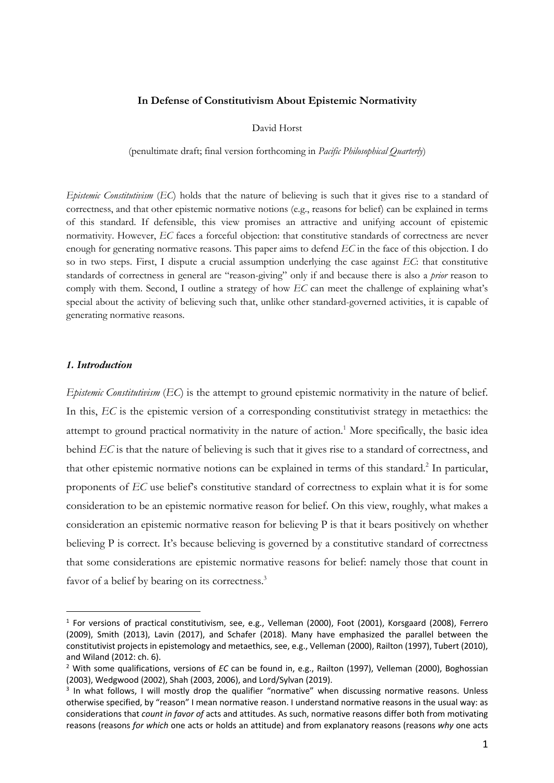## **In Defense of Constitutivism About Epistemic Normativity**

David Horst

(penultimate draft; final version forthcoming in *Pacific Philosophical Quarterly*)

*Epistemic Constitutivism* (*EC*) holds that the nature of believing is such that it gives rise to a standard of correctness, and that other epistemic normative notions (e.g., reasons for belief) can be explained in terms of this standard. If defensible, this view promises an attractive and unifying account of epistemic normativity. However, *EC* faces a forceful objection: that constitutive standards of correctness are never enough for generating normative reasons. This paper aims to defend *EC* in the face of this objection. I do so in two steps. First, I dispute a crucial assumption underlying the case against *EC*: that constitutive standards of correctness in general are "reason-giving" only if and because there is also a *prior* reason to comply with them. Second, I outline a strategy of how *EC* can meet the challenge of explaining what's special about the activity of believing such that, unlike other standard-governed activities, it is capable of generating normative reasons.

#### *1. Introduction*

*Epistemic Constitutivism* (*EC*) is the attempt to ground epistemic normativity in the nature of belief. In this, *EC* is the epistemic version of a corresponding constitutivist strategy in metaethics: the attempt to ground practical normativity in the nature of action.<sup>1</sup> More specifically, the basic idea behind *EC* is that the nature of believing is such that it gives rise to a standard of correctness, and that other epistemic normative notions can be explained in terms of this standard.<sup>2</sup> In particular, proponents of *EC* use belief's constitutive standard of correctness to explain what it is for some consideration to be an epistemic normative reason for belief. On this view, roughly, what makes a consideration an epistemic normative reason for believing P is that it bears positively on whether believing P is correct. It's because believing is governed by a constitutive standard of correctness that some considerations are epistemic normative reasons for belief: namely those that count in favor of a belief by bearing on its correctness.<sup>3</sup>

<sup>&</sup>lt;sup>1</sup> For versions of practical constitutivism, see, e.g., Velleman (2000), Foot (2001), Korsgaard (2008), Ferrero (2009), Smith (2013), Lavin (2017), and Schafer (2018). Many have emphasized the parallel between the constitutivist projects in epistemology and metaethics, see, e.g., Velleman (2000), Railton (1997), Tubert (2010), and Wiland (2012: ch. 6).

<sup>2</sup> With some qualifications, versions of *EC* can be found in, e.g., Railton (1997), Velleman (2000), Boghossian (2003), Wedgwood (2002), Shah (2003, 2006), and Lord/Sylvan (2019).

 $3$  In what follows, I will mostly drop the qualifier "normative" when discussing normative reasons. Unless otherwise specified, by "reason" I mean normative reason. I understand normative reasons in the usual way: as considerations that *count in favor of* acts and attitudes. As such, normative reasons differ both from motivating reasons (reasons *for which* one acts or holds an attitude) and from explanatory reasons (reasons *why* one acts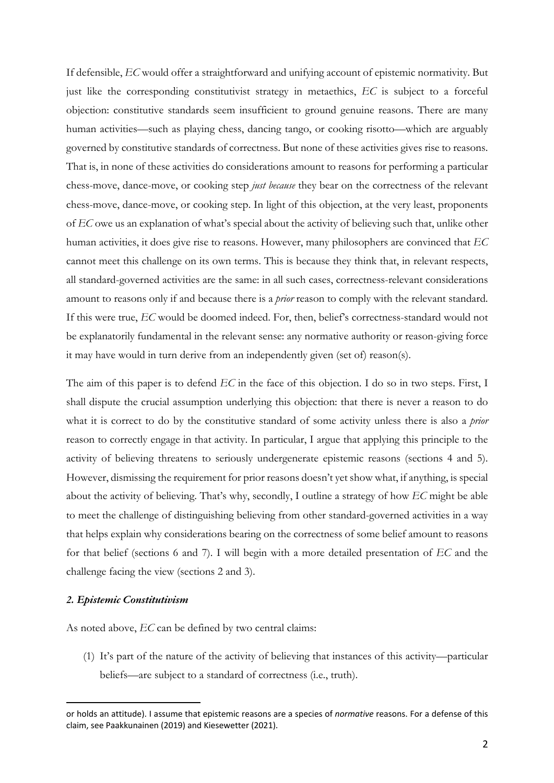If defensible, *EC* would offer a straightforward and unifying account of epistemic normativity. But just like the corresponding constitutivist strategy in metaethics, *EC* is subject to a forceful objection: constitutive standards seem insufficient to ground genuine reasons. There are many human activities—such as playing chess, dancing tango, or cooking risotto—which are arguably governed by constitutive standards of correctness. But none of these activities gives rise to reasons. That is, in none of these activities do considerations amount to reasons for performing a particular chess-move, dance-move, or cooking step *just because* they bear on the correctness of the relevant chess-move, dance-move, or cooking step. In light of this objection, at the very least, proponents of *EC* owe us an explanation of what's special about the activity of believing such that, unlike other human activities, it does give rise to reasons. However, many philosophers are convinced that *EC* cannot meet this challenge on its own terms. This is because they think that, in relevant respects, all standard-governed activities are the same: in all such cases, correctness-relevant considerations amount to reasons only if and because there is a *prior* reason to comply with the relevant standard. If this were true, *EC* would be doomed indeed. For, then, belief's correctness-standard would not be explanatorily fundamental in the relevant sense: any normative authority or reason-giving force it may have would in turn derive from an independently given (set of) reason(s).

The aim of this paper is to defend *EC* in the face of this objection. I do so in two steps. First, I shall dispute the crucial assumption underlying this objection: that there is never a reason to do what it is correct to do by the constitutive standard of some activity unless there is also a *prior* reason to correctly engage in that activity. In particular, I argue that applying this principle to the activity of believing threatens to seriously undergenerate epistemic reasons (sections 4 and 5). However, dismissing the requirement for prior reasons doesn't yet show what, if anything, is special about the activity of believing. That's why, secondly, I outline a strategy of how *EC* might be able to meet the challenge of distinguishing believing from other standard-governed activities in a way that helps explain why considerations bearing on the correctness of some belief amount to reasons for that belief (sections 6 and 7). I will begin with a more detailed presentation of *EC* and the challenge facing the view (sections 2 and 3).

#### *2. Epistemic Constitutivism*

As noted above, *EC* can be defined by two central claims:

(1) It's part of the nature of the activity of believing that instances of this activity—particular beliefs—are subject to a standard of correctness (i.e., truth).

or holds an attitude). I assume that epistemic reasons are a species of *normative* reasons. For a defense of this claim, see Paakkunainen (2019) and Kiesewetter (2021).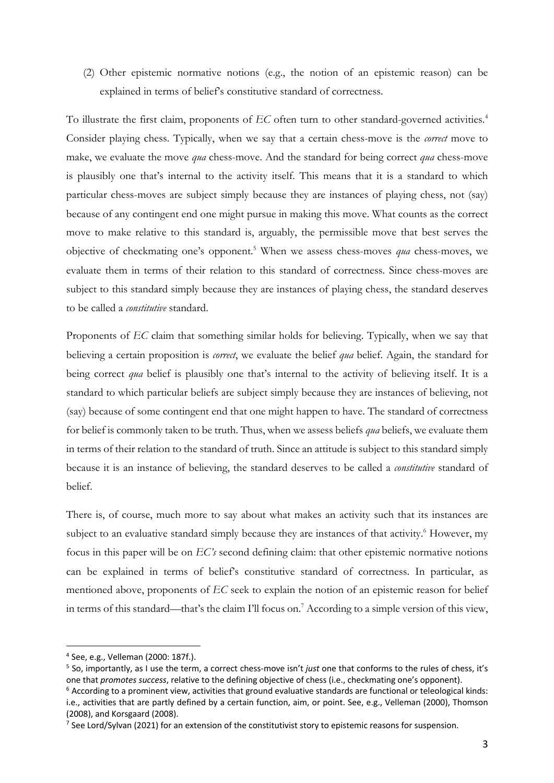(2) Other epistemic normative notions (e.g., the notion of an epistemic reason) can be explained in terms of belief's constitutive standard of correctness.

To illustrate the first claim, proponents of *EC* often turn to other standard-governed activities.4 Consider playing chess. Typically, when we say that a certain chess-move is the *correct* move to make, we evaluate the move *qua* chess-move. And the standard for being correct *qua* chess-move is plausibly one that's internal to the activity itself. This means that it is a standard to which particular chess-moves are subject simply because they are instances of playing chess, not (say) because of any contingent end one might pursue in making this move. What counts as the correct move to make relative to this standard is, arguably, the permissible move that best serves the objective of checkmating one's opponent.5 When we assess chess-moves *qua* chess-moves, we evaluate them in terms of their relation to this standard of correctness. Since chess-moves are subject to this standard simply because they are instances of playing chess, the standard deserves to be called a *constitutive* standard.

Proponents of *EC* claim that something similar holds for believing. Typically, when we say that believing a certain proposition is *correct*, we evaluate the belief *qua* belief. Again, the standard for being correct *qua* belief is plausibly one that's internal to the activity of believing itself. It is a standard to which particular beliefs are subject simply because they are instances of believing, not (say) because of some contingent end that one might happen to have. The standard of correctness for belief is commonly taken to be truth. Thus, when we assess beliefs *qua* beliefs, we evaluate them in terms of their relation to the standard of truth. Since an attitude is subject to this standard simply because it is an instance of believing, the standard deserves to be called a *constitutive* standard of belief.

There is, of course, much more to say about what makes an activity such that its instances are subject to an evaluative standard simply because they are instances of that activity.<sup>6</sup> However, my focus in this paper will be on *EC's* second defining claim: that other epistemic normative notions can be explained in terms of belief's constitutive standard of correctness. In particular, as mentioned above, proponents of *EC* seek to explain the notion of an epistemic reason for belief in terms of this standard—that's the claim I'll focus on.<sup>7</sup> According to a simple version of this view,

<sup>4</sup> See, e.g., Velleman (2000: 187f.).

<sup>5</sup> So, importantly, as I use the term, a correct chess-move isn't *just* one that conforms to the rules of chess, it's one that *promotes success*, relative to the defining objective of chess (i.e., checkmating one's opponent).

 $6$  According to a prominent view, activities that ground evaluative standards are functional or teleological kinds: i.e., activities that are partly defined by a certain function, aim, or point. See, e.g., Velleman (2000), Thomson (2008), and Korsgaard (2008).

 $<sup>7</sup>$  See Lord/Sylvan (2021) for an extension of the constitutivist story to epistemic reasons for suspension.</sup>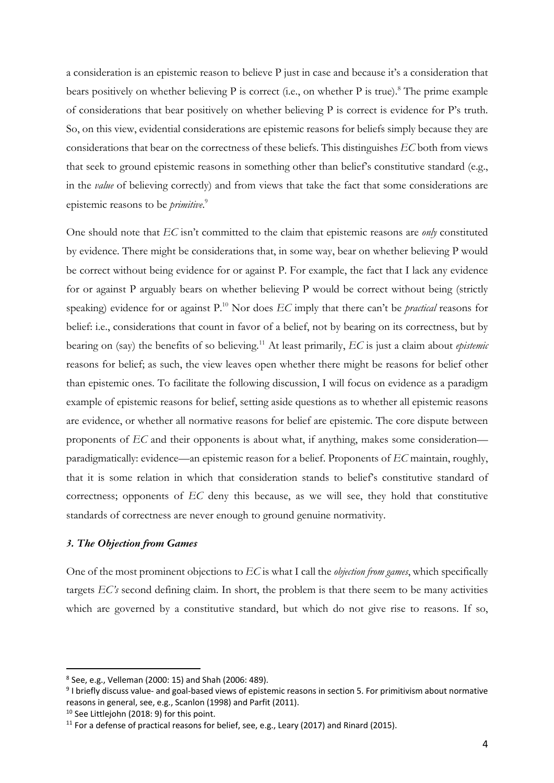a consideration is an epistemic reason to believe P just in case and because it's a consideration that bears positively on whether believing  $P$  is correct (i.e., on whether  $P$  is true).<sup>8</sup> The prime example of considerations that bear positively on whether believing P is correct is evidence for P's truth. So, on this view, evidential considerations are epistemic reasons for beliefs simply because they are considerations that bear on the correctness of these beliefs. This distinguishes *EC* both from views that seek to ground epistemic reasons in something other than belief's constitutive standard (e.g., in the *value* of believing correctly) and from views that take the fact that some considerations are epistemic reasons to be *primitive*. 9

One should note that *EC* isn't committed to the claim that epistemic reasons are *only* constituted by evidence. There might be considerations that, in some way, bear on whether believing P would be correct without being evidence for or against P. For example, the fact that I lack any evidence for or against P arguably bears on whether believing P would be correct without being (strictly speaking) evidence for or against P<sup>10</sup> Nor does *EC* imply that there can't be *practical* reasons for belief: i.e., considerations that count in favor of a belief, not by bearing on its correctness, but by bearing on (say) the benefits of so believing.11 At least primarily, *EC* is just a claim about *epistemic* reasons for belief; as such, the view leaves open whether there might be reasons for belief other than epistemic ones. To facilitate the following discussion, I will focus on evidence as a paradigm example of epistemic reasons for belief, setting aside questions as to whether all epistemic reasons are evidence, or whether all normative reasons for belief are epistemic. The core dispute between proponents of *EC* and their opponents is about what, if anything, makes some consideration paradigmatically: evidence—an epistemic reason for a belief. Proponents of *EC* maintain, roughly, that it is some relation in which that consideration stands to belief's constitutive standard of correctness; opponents of *EC* deny this because, as we will see, they hold that constitutive standards of correctness are never enough to ground genuine normativity.

# *3. The Objection from Games*

One of the most prominent objections to *EC* is what I call the *objection from games*, which specifically targets *EC's* second defining claim. In short, the problem is that there seem to be many activities which are governed by a constitutive standard, but which do not give rise to reasons. If so,

<sup>8</sup> See, e.g., Velleman (2000: 15) and Shah (2006: 489).

<sup>9</sup> I briefly discuss value- and goal-based views of epistemic reasons in section 5. For primitivism about normative reasons in general, see, e.g., Scanlon (1998) and Parfit (2011).

<sup>&</sup>lt;sup>10</sup> See Littlejohn (2018: 9) for this point.

<sup>&</sup>lt;sup>11</sup> For a defense of practical reasons for belief, see, e.g., Leary (2017) and Rinard (2015).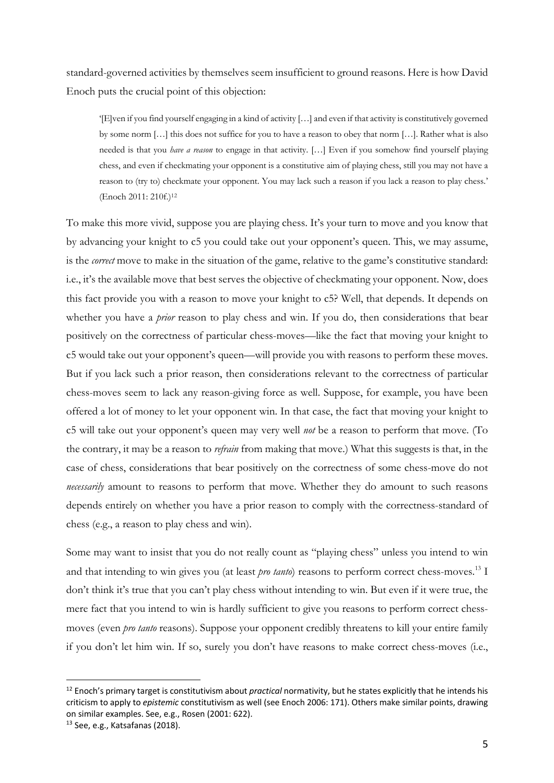standard-governed activities by themselves seem insufficient to ground reasons. Here is how David Enoch puts the crucial point of this objection:

'[E]ven if you find yourself engaging in a kind of activity […] and even if that activity is constitutively governed by some norm […] this does not suffice for you to have a reason to obey that norm […]. Rather what is also needed is that you *have a reason* to engage in that activity. […] Even if you somehow find yourself playing chess, and even if checkmating your opponent is a constitutive aim of playing chess, still you may not have a reason to (try to) checkmate your opponent. You may lack such a reason if you lack a reason to play chess.' (Enoch 2011: 210f.)12

To make this more vivid, suppose you are playing chess. It's your turn to move and you know that by advancing your knight to c5 you could take out your opponent's queen. This, we may assume, is the *correct* move to make in the situation of the game, relative to the game's constitutive standard: i.e., it's the available move that best serves the objective of checkmating your opponent. Now, does this fact provide you with a reason to move your knight to c5? Well, that depends. It depends on whether you have a *prior* reason to play chess and win. If you do, then considerations that bear positively on the correctness of particular chess-moves—like the fact that moving your knight to c5 would take out your opponent's queen—will provide you with reasons to perform these moves. But if you lack such a prior reason, then considerations relevant to the correctness of particular chess-moves seem to lack any reason-giving force as well. Suppose, for example, you have been offered a lot of money to let your opponent win. In that case, the fact that moving your knight to c5 will take out your opponent's queen may very well *not* be a reason to perform that move. (To the contrary, it may be a reason to *refrain* from making that move.) What this suggests is that, in the case of chess, considerations that bear positively on the correctness of some chess-move do not *necessarily* amount to reasons to perform that move. Whether they do amount to such reasons depends entirely on whether you have a prior reason to comply with the correctness-standard of chess (e.g., a reason to play chess and win).

Some may want to insist that you do not really count as "playing chess" unless you intend to win and that intending to win gives you (at least *pro tanto*) reasons to perform correct chess-moves.<sup>13</sup> I don't think it's true that you can't play chess without intending to win. But even if it were true, the mere fact that you intend to win is hardly sufficient to give you reasons to perform correct chessmoves (even *pro tanto* reasons). Suppose your opponent credibly threatens to kill your entire family if you don't let him win. If so, surely you don't have reasons to make correct chess-moves (i.e.,

<sup>12</sup> Enoch's primary target is constitutivism about *practical* normativity, but he states explicitly that he intends his criticism to apply to *epistemic* constitutivism as well (see Enoch 2006: 171). Others make similar points, drawing on similar examples. See, e.g., Rosen (2001: 622).

<sup>13</sup> See, e.g., Katsafanas (2018).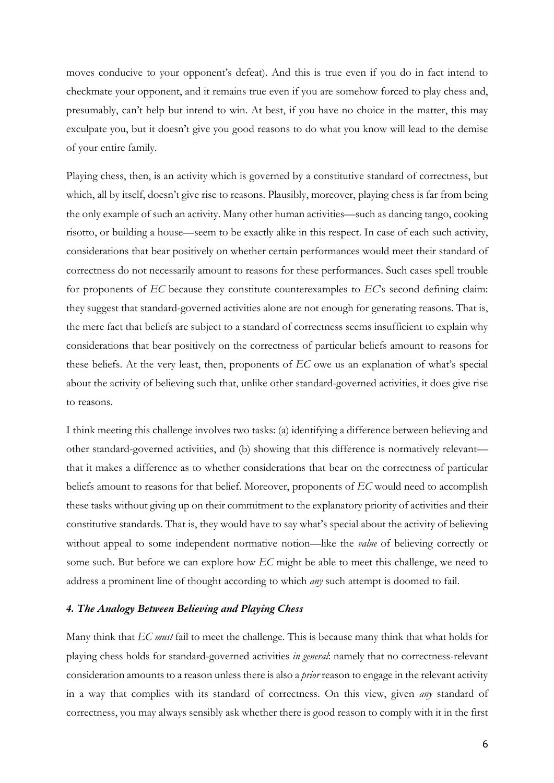moves conducive to your opponent's defeat). And this is true even if you do in fact intend to checkmate your opponent, and it remains true even if you are somehow forced to play chess and, presumably, can't help but intend to win. At best, if you have no choice in the matter, this may exculpate you, but it doesn't give you good reasons to do what you know will lead to the demise of your entire family.

Playing chess, then, is an activity which is governed by a constitutive standard of correctness, but which, all by itself, doesn't give rise to reasons. Plausibly, moreover, playing chess is far from being the only example of such an activity. Many other human activities—such as dancing tango, cooking risotto, or building a house—seem to be exactly alike in this respect. In case of each such activity, considerations that bear positively on whether certain performances would meet their standard of correctness do not necessarily amount to reasons for these performances. Such cases spell trouble for proponents of *EC* because they constitute counterexamples to *EC*'s second defining claim: they suggest that standard-governed activities alone are not enough for generating reasons. That is, the mere fact that beliefs are subject to a standard of correctness seems insufficient to explain why considerations that bear positively on the correctness of particular beliefs amount to reasons for these beliefs. At the very least, then, proponents of *EC* owe us an explanation of what's special about the activity of believing such that, unlike other standard-governed activities, it does give rise to reasons.

I think meeting this challenge involves two tasks: (a) identifying a difference between believing and other standard-governed activities, and (b) showing that this difference is normatively relevant that it makes a difference as to whether considerations that bear on the correctness of particular beliefs amount to reasons for that belief. Moreover, proponents of *EC* would need to accomplish these tasks without giving up on their commitment to the explanatory priority of activities and their constitutive standards. That is, they would have to say what's special about the activity of believing without appeal to some independent normative notion—like the *value* of believing correctly or some such. But before we can explore how *EC* might be able to meet this challenge, we need to address a prominent line of thought according to which *any* such attempt is doomed to fail.

## *4. The Analogy Between Believing and Playing Chess*

Many think that *EC must* fail to meet the challenge. This is because many think that what holds for playing chess holds for standard-governed activities *in general*: namely that no correctness-relevant consideration amounts to a reason unless there is also a *prior* reason to engage in the relevant activity in a way that complies with its standard of correctness. On this view, given *any* standard of correctness, you may always sensibly ask whether there is good reason to comply with it in the first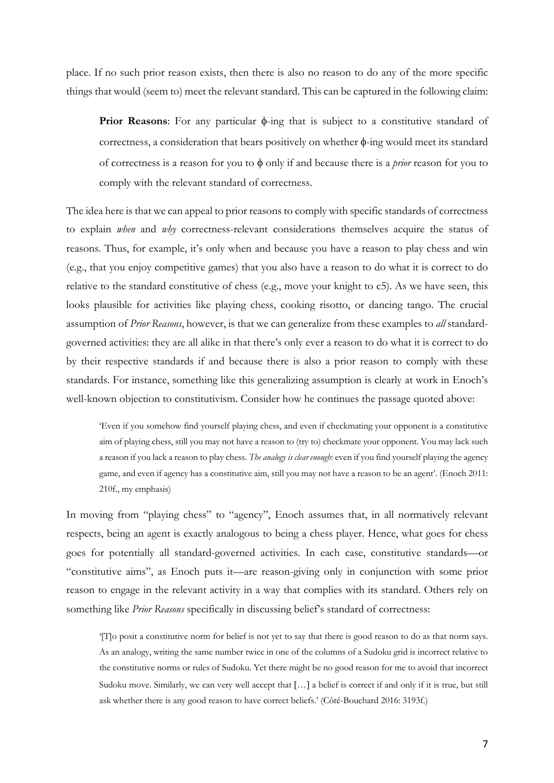place. If no such prior reason exists, then there is also no reason to do any of the more specific things that would (seem to) meet the relevant standard. This can be captured in the following claim:

**Prior Reasons:** For any particular  $\phi$ -ing that is subject to a constitutive standard of correctness, a consideration that bears positively on whether  $\phi$ -ing would meet its standard of correctness is a reason for you to  $\phi$  only if and because there is a *prior* reason for you to comply with the relevant standard of correctness.

The idea here is that we can appeal to prior reasons to comply with specific standards of correctness to explain *when* and *why* correctness-relevant considerations themselves acquire the status of reasons. Thus, for example, it's only when and because you have a reason to play chess and win (e.g., that you enjoy competitive games) that you also have a reason to do what it is correct to do relative to the standard constitutive of chess (e.g., move your knight to c5). As we have seen, this looks plausible for activities like playing chess, cooking risotto, or dancing tango. The crucial assumption of *Prior Reasons*, however, is that we can generalize from these examples to *all* standardgoverned activities: they are all alike in that there's only ever a reason to do what it is correct to do by their respective standards if and because there is also a prior reason to comply with these standards. For instance, something like this generalizing assumption is clearly at work in Enoch's well-known objection to constitutivism. Consider how he continues the passage quoted above:

'Even if you somehow find yourself playing chess, and even if checkmating your opponent is a constitutive aim of playing chess, still you may not have a reason to (try to) checkmate your opponent. You may lack such a reason if you lack a reason to play chess. *The analogy is clear enough*: even if you find yourself playing the agency game, and even if agency has a constitutive aim, still you may not have a reason to be an agent'. (Enoch 2011: 210f., my emphasis)

In moving from "playing chess" to "agency", Enoch assumes that, in all normatively relevant respects, being an agent is exactly analogous to being a chess player. Hence, what goes for chess goes for potentially all standard-governed activities. In each case, constitutive standards—or "constitutive aims", as Enoch puts it—are reason-giving only in conjunction with some prior reason to engage in the relevant activity in a way that complies with its standard. Others rely on something like *Prior Reasons* specifically in discussing belief's standard of correctness:

'[T]o posit a constitutive norm for belief is not yet to say that there is good reason to do as that norm says. As an analogy, writing the same number twice in one of the columns of a Sudoku grid is incorrect relative to the constitutive norms or rules of Sudoku. Yet there might be no good reason for me to avoid that incorrect Sudoku move. Similarly, we can very well accept that […] a belief is correct if and only if it is true, but still ask whether there is any good reason to have correct beliefs.' (Côté-Bouchard 2016: 3193f.)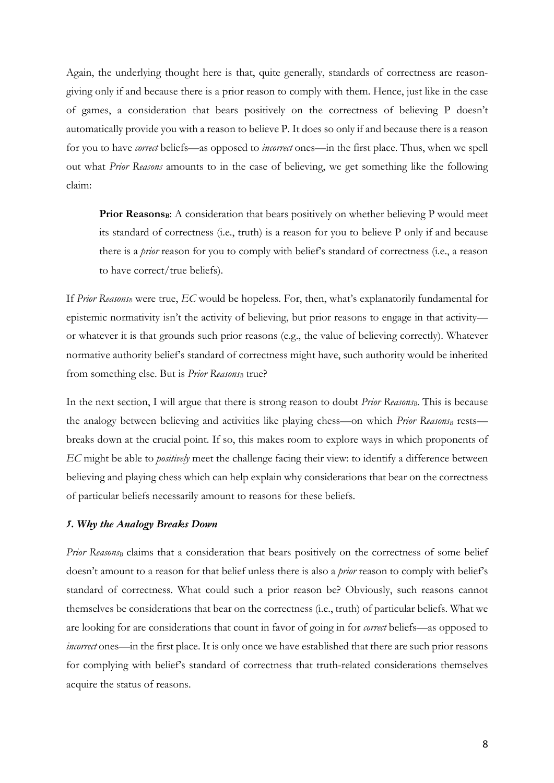Again, the underlying thought here is that, quite generally, standards of correctness are reasongiving only if and because there is a prior reason to comply with them. Hence, just like in the case of games, a consideration that bears positively on the correctness of believing P doesn't automatically provide you with a reason to believe P. It does so only if and because there is a reason for you to have *correct* beliefs—as opposed to *incorrect* ones—in the first place. Thus, when we spell out what *Prior Reasons* amounts to in the case of believing, we get something like the following claim:

Prior Reasons<sub>B</sub>: A consideration that bears positively on whether believing P would meet its standard of correctness (i.e., truth) is a reason for you to believe P only if and because there is a *prior* reason for you to comply with belief's standard of correctness (i.e., a reason to have correct/true beliefs).

If *Prior ReasonsB* were true, *EC* would be hopeless. For, then, what's explanatorily fundamental for epistemic normativity isn't the activity of believing, but prior reasons to engage in that activity or whatever it is that grounds such prior reasons (e.g., the value of believing correctly). Whatever normative authority belief's standard of correctness might have, such authority would be inherited from something else. But is *Prior Reasons*<sub>B</sub> true?

In the next section, I will argue that there is strong reason to doubt *Prior Reasons*<sub>B</sub>. This is because the analogy between believing and activities like playing chess—on which *Prior Reasons*<sub>B</sub> rests breaks down at the crucial point. If so, this makes room to explore ways in which proponents of *EC* might be able to *positively* meet the challenge facing their view: to identify a difference between believing and playing chess which can help explain why considerations that bear on the correctness of particular beliefs necessarily amount to reasons for these beliefs.

### *5. Why the Analogy Breaks Down*

*Prior ReasonsB* claims that a consideration that bears positively on the correctness of some belief doesn't amount to a reason for that belief unless there is also a *prior* reason to comply with belief's standard of correctness. What could such a prior reason be? Obviously, such reasons cannot themselves be considerations that bear on the correctness (i.e., truth) of particular beliefs. What we are looking for are considerations that count in favor of going in for *correct* beliefs—as opposed to *incorrect* ones—in the first place. It is only once we have established that there are such prior reasons for complying with belief's standard of correctness that truth-related considerations themselves acquire the status of reasons.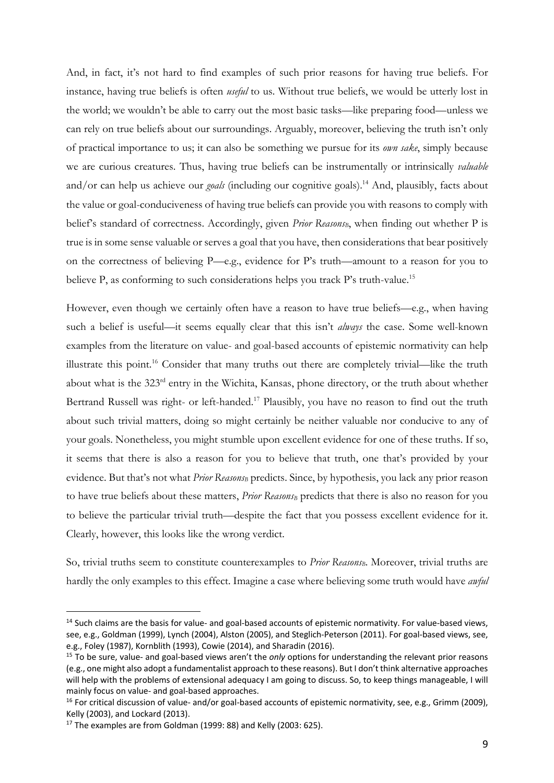And, in fact, it's not hard to find examples of such prior reasons for having true beliefs. For instance, having true beliefs is often *useful* to us. Without true beliefs, we would be utterly lost in the world; we wouldn't be able to carry out the most basic tasks—like preparing food—unless we can rely on true beliefs about our surroundings. Arguably, moreover, believing the truth isn't only of practical importance to us; it can also be something we pursue for its *own sake*, simply because we are curious creatures. Thus, having true beliefs can be instrumentally or intrinsically *valuable* and/or can help us achieve our *goals* (including our cognitive goals).<sup>14</sup> And, plausibly, facts about the value or goal-conduciveness of having true beliefs can provide you with reasons to comply with belief's standard of correctness. Accordingly, given *Prior ReasonsB*, when finding out whether P is true is in some sense valuable or serves a goal that you have, then considerations that bear positively on the correctness of believing P—e.g., evidence for P's truth—amount to a reason for you to believe P, as conforming to such considerations helps you track P's truth-value.<sup>15</sup>

However, even though we certainly often have a reason to have true beliefs—e.g., when having such a belief is useful—it seems equally clear that this isn't *always* the case. Some well-known examples from the literature on value- and goal-based accounts of epistemic normativity can help illustrate this point.16 Consider that many truths out there are completely trivial—like the truth about what is the 323<sup>rd</sup> entry in the Wichita, Kansas, phone directory, or the truth about whether Bertrand Russell was right- or left-handed.<sup>17</sup> Plausibly, you have no reason to find out the truth about such trivial matters, doing so might certainly be neither valuable nor conducive to any of your goals. Nonetheless, you might stumble upon excellent evidence for one of these truths. If so, it seems that there is also a reason for you to believe that truth, one that's provided by your evidence. But that's not what *Prior Reasons<sub>B</sub>* predicts. Since, by hypothesis, you lack any prior reason to have true beliefs about these matters, *Prior Reasons*<sub>B</sub> predicts that there is also no reason for you to believe the particular trivial truth—despite the fact that you possess excellent evidence for it. Clearly, however, this looks like the wrong verdict.

So, trivial truths seem to constitute counterexamples to *Prior ReasonsB*. Moreover, trivial truths are hardly the only examples to this effect. Imagine a case where believing some truth would have *awful*

<sup>&</sup>lt;sup>14</sup> Such claims are the basis for value- and goal-based accounts of epistemic normativity. For value-based views, see, e.g., Goldman (1999), Lynch (2004), Alston (2005), and Steglich-Peterson (2011). For goal-based views, see, e.g., Foley (1987), Kornblith (1993), Cowie (2014), and Sharadin (2016).

<sup>15</sup> To be sure, value- and goal-based views aren't the *only* options for understanding the relevant prior reasons (e.g., one might also adopt a fundamentalist approach to these reasons). But I don't think alternative approaches will help with the problems of extensional adequacy I am going to discuss. So, to keep things manageable, I will mainly focus on value- and goal-based approaches.

 $16$  For critical discussion of value- and/or goal-based accounts of epistemic normativity, see, e.g., Grimm (2009), Kelly (2003), and Lockard (2013).

<sup>&</sup>lt;sup>17</sup> The examples are from Goldman (1999: 88) and Kelly (2003: 625).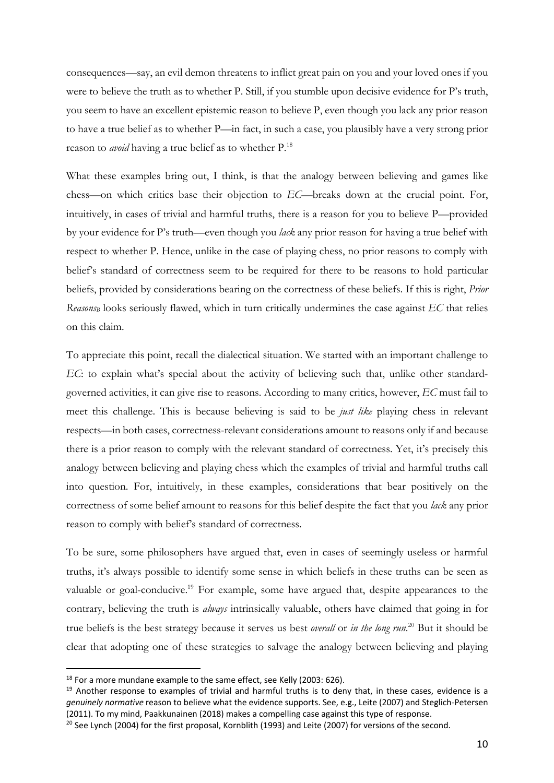consequences—say, an evil demon threatens to inflict great pain on you and your loved ones if you were to believe the truth as to whether P. Still, if you stumble upon decisive evidence for P's truth, you seem to have an excellent epistemic reason to believe P, even though you lack any prior reason to have a true belief as to whether P—in fact, in such a case, you plausibly have a very strong prior reason to *avoid* having a true belief as to whether P.18

What these examples bring out, I think, is that the analogy between believing and games like chess—on which critics base their objection to *EC*—breaks down at the crucial point. For, intuitively, in cases of trivial and harmful truths, there is a reason for you to believe P—provided by your evidence for P's truth—even though you *lack* any prior reason for having a true belief with respect to whether P. Hence, unlike in the case of playing chess, no prior reasons to comply with belief's standard of correctness seem to be required for there to be reasons to hold particular beliefs, provided by considerations bearing on the correctness of these beliefs. If this is right, *Prior ReasonsB* looks seriously flawed, which in turn critically undermines the case against *EC* that relies on this claim.

To appreciate this point, recall the dialectical situation. We started with an important challenge to *EC*: to explain what's special about the activity of believing such that, unlike other standardgoverned activities, it can give rise to reasons. According to many critics, however, *EC* must fail to meet this challenge. This is because believing is said to be *just like* playing chess in relevant respects—in both cases, correctness-relevant considerations amount to reasons only if and because there is a prior reason to comply with the relevant standard of correctness. Yet, it's precisely this analogy between believing and playing chess which the examples of trivial and harmful truths call into question. For, intuitively, in these examples, considerations that bear positively on the correctness of some belief amount to reasons for this belief despite the fact that you *lack* any prior reason to comply with belief's standard of correctness.

To be sure, some philosophers have argued that, even in cases of seemingly useless or harmful truths, it's always possible to identify some sense in which beliefs in these truths can be seen as valuable or goal-conducive.<sup>19</sup> For example, some have argued that, despite appearances to the contrary, believing the truth is *always* intrinsically valuable, others have claimed that going in for true beliefs is the best strategy because it serves us best *overall* or *in the long run*. <sup>20</sup> But it should be clear that adopting one of these strategies to salvage the analogy between believing and playing

<sup>&</sup>lt;sup>18</sup> For a more mundane example to the same effect, see Kelly (2003: 626).

 $19$  Another response to examples of trivial and harmful truths is to deny that, in these cases, evidence is a *genuinely normative* reason to believe what the evidence supports. See, e.g., Leite (2007) and Steglich-Petersen (2011). To my mind, Paakkunainen (2018) makes a compelling case against this type of response.

<sup>&</sup>lt;sup>20</sup> See Lynch (2004) for the first proposal, Kornblith (1993) and Leite (2007) for versions of the second.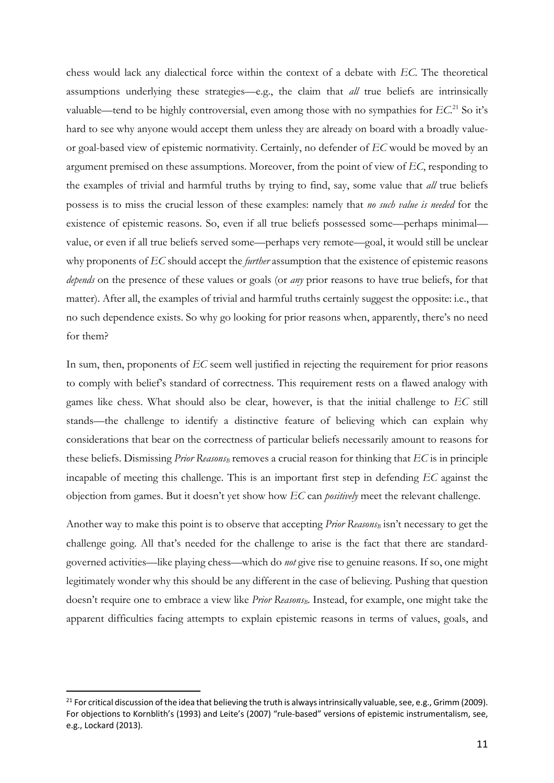chess would lack any dialectical force within the context of a debate with *EC*. The theoretical assumptions underlying these strategies—e.g., the claim that *all* true beliefs are intrinsically valuable—tend to be highly controversial, even among those with no sympathies for *EC*. <sup>21</sup> So it's hard to see why anyone would accept them unless they are already on board with a broadly valueor goal-based view of epistemic normativity. Certainly, no defender of *EC* would be moved by an argument premised on these assumptions. Moreover, from the point of view of *EC*, responding to the examples of trivial and harmful truths by trying to find, say, some value that *all* true beliefs possess is to miss the crucial lesson of these examples: namely that *no such value is needed* for the existence of epistemic reasons. So, even if all true beliefs possessed some—perhaps minimal value, or even if all true beliefs served some—perhaps very remote—goal, it would still be unclear why proponents of *EC* should accept the *further* assumption that the existence of epistemic reasons *depends* on the presence of these values or goals (or *any* prior reasons to have true beliefs, for that matter). After all, the examples of trivial and harmful truths certainly suggest the opposite: i.e., that no such dependence exists. So why go looking for prior reasons when, apparently, there's no need for them?

In sum, then, proponents of *EC* seem well justified in rejecting the requirement for prior reasons to comply with belief's standard of correctness. This requirement rests on a flawed analogy with games like chess. What should also be clear, however, is that the initial challenge to *EC* still stands—the challenge to identify a distinctive feature of believing which can explain why considerations that bear on the correctness of particular beliefs necessarily amount to reasons for these beliefs. Dismissing *Prior Reasons*<sub>B</sub> removes a crucial reason for thinking that *EC* is in principle incapable of meeting this challenge. This is an important first step in defending *EC* against the objection from games. But it doesn't yet show how *EC* can *positively* meet the relevant challenge.

Another way to make this point is to observe that accepting *Prior Reasons*<sub>B</sub> isn't necessary to get the challenge going. All that's needed for the challenge to arise is the fact that there are standardgoverned activities—like playing chess—which do *not* give rise to genuine reasons. If so, one might legitimately wonder why this should be any different in the case of believing. Pushing that question doesn't require one to embrace a view like *Prior Reasons<sub>B</sub>*. Instead, for example, one might take the apparent difficulties facing attempts to explain epistemic reasons in terms of values, goals, and

<sup>&</sup>lt;sup>21</sup> For critical discussion of the idea that believing the truth is always intrinsically valuable, see, e.g., Grimm (2009). For objections to Kornblith's (1993) and Leite's (2007) "rule-based" versions of epistemic instrumentalism, see, e.g., Lockard (2013).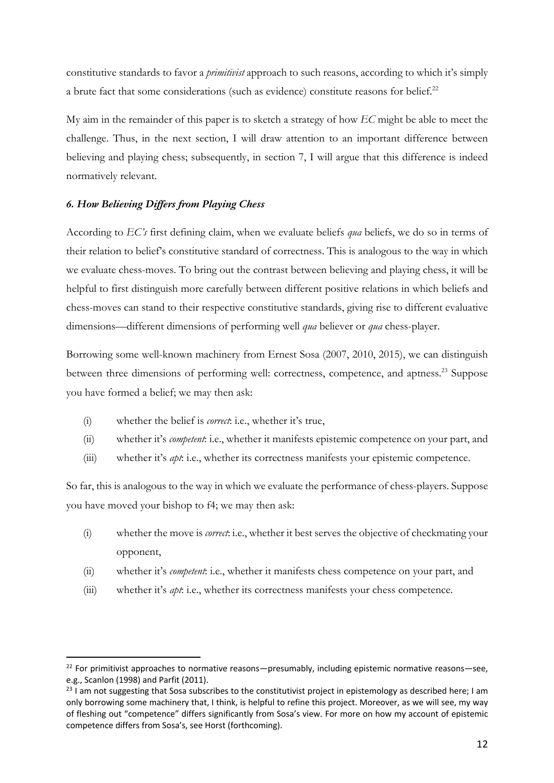constitutive standards to favor a *primitivist* approach to such reasons, according to which it's simply a brute fact that some considerations (such as evidence) constitute reasons for belief.<sup>22</sup>

My aim in the remainder of this paper is to sketch a strategy of how *EC* might be able to meet the challenge. Thus, in the next section, I will draw attention to an important difference between believing and playing chess; subsequently, in section 7, I will argue that this difference is indeed normatively relevant.

# *6. How Believing Differs from Playing Chess*

According to *EC's* first defining claim, when we evaluate beliefs *qua* beliefs, we do so in terms of their relation to belief's constitutive standard of correctness. This is analogous to the way in which we evaluate chess-moves. To bring out the contrast between believing and playing chess, it will be helpful to first distinguish more carefully between different positive relations in which beliefs and chess-moves can stand to their respective constitutive standards, giving rise to different evaluative dimensions—different dimensions of performing well *qua* believer or *qua* chess-player.

Borrowing some well-known machinery from Ernest Sosa (2007, 2010, 2015), we can distinguish between three dimensions of performing well: correctness, competence, and aptness.<sup>23</sup> Suppose you have formed a belief; we may then ask:

- (i) whether the belief is *correct*: i.e., whether it's true,
- (ii) whether it's *competent*: i.e., whether it manifests epistemic competence on your part, and
- (iii) whether it's *apt*: i.e., whether its correctness manifests your epistemic competence.

So far, this is analogous to the way in which we evaluate the performance of chess-players. Suppose you have moved your bishop to f4; we may then ask:

- (i) whether the move is *correct*: i.e., whether it best serves the objective of checkmating your opponent,
- (ii) whether it's *competent*: i.e., whether it manifests chess competence on your part, and
- (iii) whether it's *apt*: i.e., whether its correctness manifests your chess competence.

 $22$  For primitivist approaches to normative reasons—presumably, including epistemic normative reasons—see, e.g., Scanlon (1998) and Parfit (2011).

<sup>&</sup>lt;sup>23</sup> I am not suggesting that Sosa subscribes to the constitutivist project in epistemology as described here; I am only borrowing some machinery that, I think, is helpful to refine this project. Moreover, as we will see, my way of fleshing out "competence" differs significantly from Sosa's view. For more on how my account of epistemic competence differs from Sosa's, see Horst (forthcoming).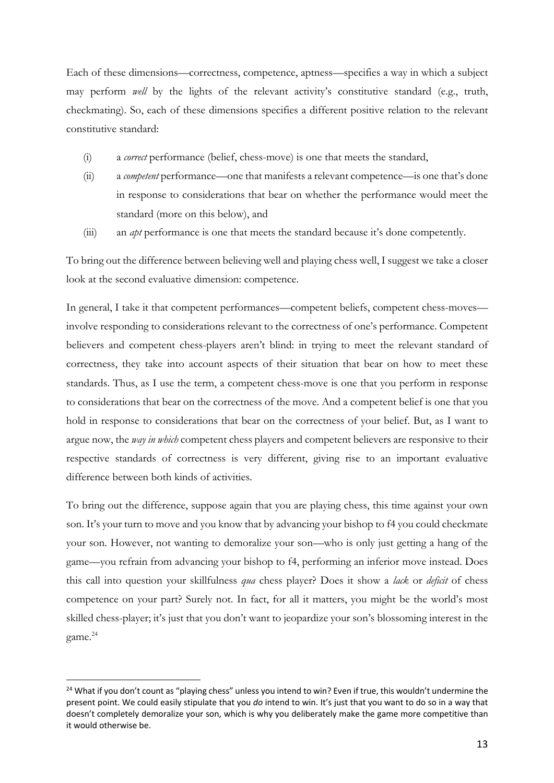Each of these dimensions—correctness, competence, aptness—specifies a way in which a subject may perform *well* by the lights of the relevant activity's constitutive standard (e.g., truth, checkmating). So, each of these dimensions specifies a different positive relation to the relevant constitutive standard:

- (i) a *correct* performance (belief, chess-move) is one that meets the standard,
- (ii) a *competent* performance—one that manifests a relevant competence—is one that's done in response to considerations that bear on whether the performance would meet the standard (more on this below), and
- (iii) an *apt* performance is one that meets the standard because it's done competently.

To bring out the difference between believing well and playing chess well, I suggest we take a closer look at the second evaluative dimension: competence.

In general, I take it that competent performances—competent beliefs, competent chess-moves involve responding to considerations relevant to the correctness of one's performance. Competent believers and competent chess-players aren't blind: in trying to meet the relevant standard of correctness, they take into account aspects of their situation that bear on how to meet these standards. Thus, as I use the term, a competent chess-move is one that you perform in response to considerations that bear on the correctness of the move. And a competent belief is one that you hold in response to considerations that bear on the correctness of your belief. But, as I want to argue now, the *way in which* competent chess players and competent believers are responsive to their respective standards of correctness is very different, giving rise to an important evaluative difference between both kinds of activities.

To bring out the difference, suppose again that you are playing chess, this time against your own son. It's your turn to move and you know that by advancing your bishop to f4 you could checkmate your son. However, not wanting to demoralize your son—who is only just getting a hang of the game—you refrain from advancing your bishop to f4, performing an inferior move instead. Does this call into question your skillfulness *qua* chess player? Does it show a *lack* or *deficit* of chess competence on your part? Surely not. In fact, for all it matters, you might be the world's most skilled chess-player; it's just that you don't want to jeopardize your son's blossoming interest in the game.24

<sup>&</sup>lt;sup>24</sup> What if you don't count as "playing chess" unless you intend to win? Even if true, this wouldn't undermine the present point. We could easily stipulate that you *do* intend to win. It's just that you want to do so in a way that doesn't completely demoralize your son, which is why you deliberately make the game more competitive than it would otherwise be.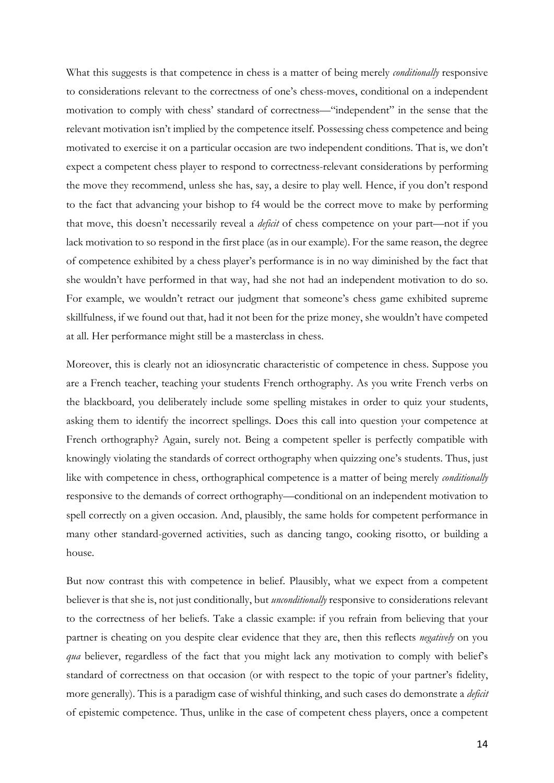What this suggests is that competence in chess is a matter of being merely *conditionally* responsive to considerations relevant to the correctness of one's chess-moves, conditional on a independent motivation to comply with chess' standard of correctness—"independent" in the sense that the relevant motivation isn't implied by the competence itself. Possessing chess competence and being motivated to exercise it on a particular occasion are two independent conditions. That is, we don't expect a competent chess player to respond to correctness-relevant considerations by performing the move they recommend, unless she has, say, a desire to play well. Hence, if you don't respond to the fact that advancing your bishop to f4 would be the correct move to make by performing that move, this doesn't necessarily reveal a *deficit* of chess competence on your part—not if you lack motivation to so respond in the first place (as in our example). For the same reason, the degree of competence exhibited by a chess player's performance is in no way diminished by the fact that she wouldn't have performed in that way, had she not had an independent motivation to do so. For example, we wouldn't retract our judgment that someone's chess game exhibited supreme skillfulness, if we found out that, had it not been for the prize money, she wouldn't have competed at all. Her performance might still be a masterclass in chess.

Moreover, this is clearly not an idiosyncratic characteristic of competence in chess. Suppose you are a French teacher, teaching your students French orthography. As you write French verbs on the blackboard, you deliberately include some spelling mistakes in order to quiz your students, asking them to identify the incorrect spellings. Does this call into question your competence at French orthography? Again, surely not. Being a competent speller is perfectly compatible with knowingly violating the standards of correct orthography when quizzing one's students. Thus, just like with competence in chess, orthographical competence is a matter of being merely *conditionally* responsive to the demands of correct orthography—conditional on an independent motivation to spell correctly on a given occasion. And, plausibly, the same holds for competent performance in many other standard-governed activities, such as dancing tango, cooking risotto, or building a house.

But now contrast this with competence in belief. Plausibly, what we expect from a competent believer is that she is, not just conditionally, but *unconditionally* responsive to considerations relevant to the correctness of her beliefs. Take a classic example: if you refrain from believing that your partner is cheating on you despite clear evidence that they are, then this reflects *negatively* on you *qua* believer, regardless of the fact that you might lack any motivation to comply with belief's standard of correctness on that occasion (or with respect to the topic of your partner's fidelity, more generally). This is a paradigm case of wishful thinking, and such cases do demonstrate a *deficit* of epistemic competence. Thus, unlike in the case of competent chess players, once a competent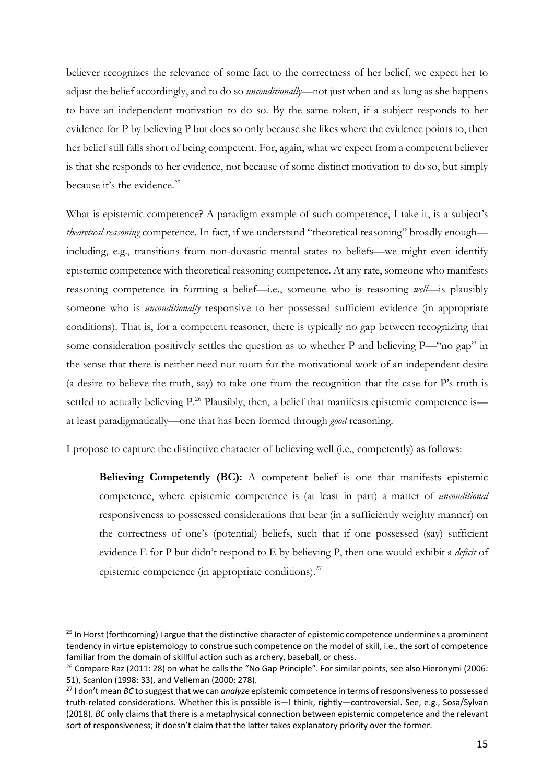believer recognizes the relevance of some fact to the correctness of her belief, we expect her to adjust the belief accordingly, and to do so *unconditionally*—not just when and as long as she happens to have an independent motivation to do so. By the same token, if a subject responds to her evidence for P by believing P but does so only because she likes where the evidence points to, then her belief still falls short of being competent. For, again, what we expect from a competent believer is that she responds to her evidence, not because of some distinct motivation to do so, but simply because it's the evidence. $25$ 

What is epistemic competence? A paradigm example of such competence, I take it, is a subject's *theoretical reasoning* competence. In fact, if we understand "theoretical reasoning" broadly enough including, e.g., transitions from non-doxastic mental states to beliefs—we might even identify epistemic competence with theoretical reasoning competence. At any rate, someone who manifests reasoning competence in forming a belief—i.e., someone who is reasoning *well*—is plausibly someone who is *unconditionally* responsive to her possessed sufficient evidence (in appropriate conditions). That is, for a competent reasoner, there is typically no gap between recognizing that some consideration positively settles the question as to whether P and believing P—"no gap" in the sense that there is neither need nor room for the motivational work of an independent desire (a desire to believe the truth, say) to take one from the recognition that the case for P's truth is settled to actually believing P.<sup>26</sup> Plausibly, then, a belief that manifests epistemic competence is at least paradigmatically—one that has been formed through *good* reasoning.

I propose to capture the distinctive character of believing well (i.e., competently) as follows:

**Believing Competently (BC):** A competent belief is one that manifests epistemic competence, where epistemic competence is (at least in part) a matter of *unconditional* responsiveness to possessed considerations that bear (in a sufficiently weighty manner) on the correctness of one's (potential) beliefs, such that if one possessed (say) sufficient evidence E for P but didn't respond to E by believing P, then one would exhibit a *deficit* of epistemic competence (in appropriate conditions). $27$ 

<sup>&</sup>lt;sup>25</sup> In Horst (forthcoming) I argue that the distinctive character of epistemic competence undermines a prominent tendency in virtue epistemology to construe such competence on the model of skill, i.e., the sort of competence familiar from the domain of skillful action such as archery, baseball, or chess.<br><sup>26</sup> Compare Raz (2011: 28) on what he calls the "No Gap Principle". For similar points, see also Hieronymi (2006:

<sup>51),</sup> Scanlon (1998: 33), and Velleman (2000: 278).

<sup>27</sup> I don't mean *BC* to suggest that we can *analyze* epistemic competence in terms of responsiveness to possessed truth-related considerations. Whether this is possible is—I think, rightly—controversial. See, e.g., Sosa/Sylvan (2018). *BC* only claims that there is a metaphysical connection between epistemic competence and the relevant sort of responsiveness; it doesn't claim that the latter takes explanatory priority over the former.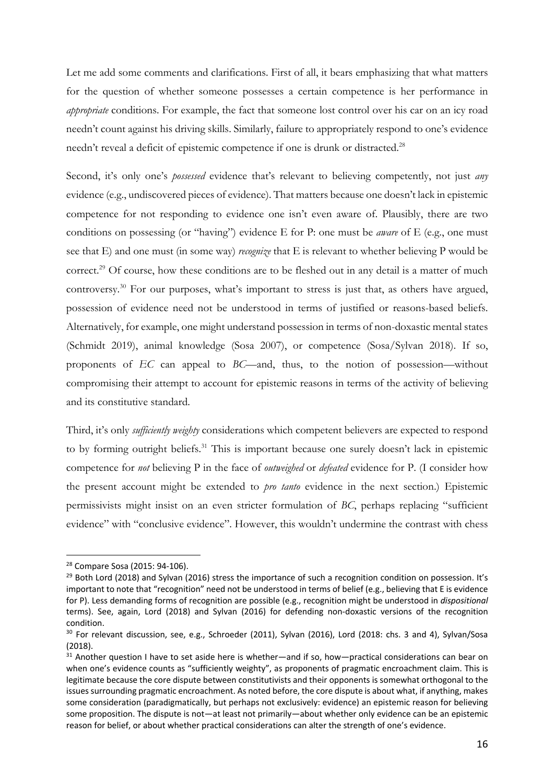Let me add some comments and clarifications. First of all, it bears emphasizing that what matters for the question of whether someone possesses a certain competence is her performance in *appropriate* conditions. For example, the fact that someone lost control over his car on an icy road needn't count against his driving skills. Similarly, failure to appropriately respond to one's evidence needn't reveal a deficit of epistemic competence if one is drunk or distracted.<sup>28</sup>

Second, it's only one's *possessed* evidence that's relevant to believing competently, not just *any* evidence (e.g., undiscovered pieces of evidence). That matters because one doesn't lack in epistemic competence for not responding to evidence one isn't even aware of. Plausibly, there are two conditions on possessing (or "having") evidence E for P: one must be *aware* of E (e.g., one must see that E) and one must (in some way) *recognize* that E is relevant to whether believing P would be correct.<sup>29</sup> Of course, how these conditions are to be fleshed out in any detail is a matter of much controversy.30 For our purposes, what's important to stress is just that, as others have argued, possession of evidence need not be understood in terms of justified or reasons-based beliefs. Alternatively, for example, one might understand possession in terms of non-doxastic mental states (Schmidt 2019), animal knowledge (Sosa 2007), or competence (Sosa/Sylvan 2018). If so, proponents of *EC* can appeal to *BC*—and, thus, to the notion of possession—without compromising their attempt to account for epistemic reasons in terms of the activity of believing and its constitutive standard.

Third, it's only *sufficiently weighty* considerations which competent believers are expected to respond to by forming outright beliefs.<sup>31</sup> This is important because one surely doesn't lack in epistemic competence for *not* believing P in the face of *outweighed* or *defeated* evidence for P. (I consider how the present account might be extended to *pro tanto* evidence in the next section.) Epistemic permissivists might insist on an even stricter formulation of *BC*, perhaps replacing "sufficient evidence" with "conclusive evidence". However, this wouldn't undermine the contrast with chess

<sup>28</sup> Compare Sosa (2015: 94-106).

<sup>&</sup>lt;sup>29</sup> Both Lord (2018) and Sylvan (2016) stress the importance of such a recognition condition on possession. It's important to note that "recognition" need not be understood in terms of belief (e.g., believing that E is evidence for P). Less demanding forms of recognition are possible (e.g., recognition might be understood in *dispositional* terms). See, again, Lord (2018) and Sylvan (2016) for defending non-doxastic versions of the recognition condition.

<sup>&</sup>lt;sup>30</sup> For relevant discussion, see, e.g., Schroeder (2011), Sylvan (2016), Lord (2018: chs. 3 and 4), Sylvan/Sosa (2018).

<sup>&</sup>lt;sup>31</sup> Another question I have to set aside here is whether—and if so, how—practical considerations can bear on when one's evidence counts as "sufficiently weighty", as proponents of pragmatic encroachment claim. This is legitimate because the core dispute between constitutivists and their opponents is somewhat orthogonal to the issues surrounding pragmatic encroachment. As noted before, the core dispute is about what, if anything, makes some consideration (paradigmatically, but perhaps not exclusively: evidence) an epistemic reason for believing some proposition. The dispute is not—at least not primarily—about whether only evidence can be an epistemic reason for belief, or about whether practical considerations can alter the strength of one's evidence.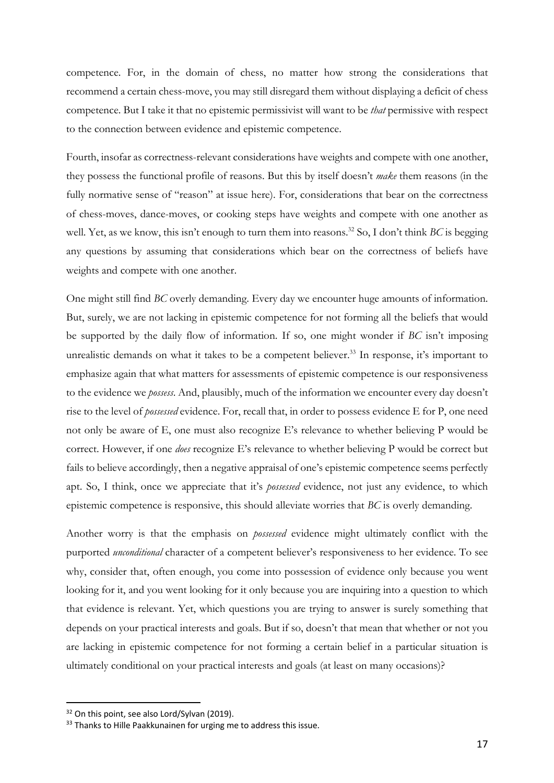competence. For, in the domain of chess, no matter how strong the considerations that recommend a certain chess-move, you may still disregard them without displaying a deficit of chess competence. But I take it that no epistemic permissivist will want to be *that* permissive with respect to the connection between evidence and epistemic competence.

Fourth, insofar as correctness-relevant considerations have weights and compete with one another, they possess the functional profile of reasons. But this by itself doesn't *make* them reasons (in the fully normative sense of "reason" at issue here). For, considerations that bear on the correctness of chess-moves, dance-moves, or cooking steps have weights and compete with one another as well. Yet, as we know, this isn't enough to turn them into reasons.<sup>32</sup> So, I don't think *BC* is begging any questions by assuming that considerations which bear on the correctness of beliefs have weights and compete with one another.

One might still find *BC* overly demanding. Every day we encounter huge amounts of information. But, surely, we are not lacking in epistemic competence for not forming all the beliefs that would be supported by the daily flow of information. If so, one might wonder if *BC* isn't imposing unrealistic demands on what it takes to be a competent believer.<sup>33</sup> In response, it's important to emphasize again that what matters for assessments of epistemic competence is our responsiveness to the evidence we *possess*. And, plausibly, much of the information we encounter every day doesn't rise to the level of *possessed* evidence. For, recall that, in order to possess evidence E for P, one need not only be aware of E, one must also recognize E's relevance to whether believing P would be correct. However, if one *does* recognize E's relevance to whether believing P would be correct but fails to believe accordingly, then a negative appraisal of one's epistemic competence seems perfectly apt. So, I think, once we appreciate that it's *possessed* evidence, not just any evidence, to which epistemic competence is responsive, this should alleviate worries that *BC* is overly demanding.

Another worry is that the emphasis on *possessed* evidence might ultimately conflict with the purported *unconditional* character of a competent believer's responsiveness to her evidence. To see why, consider that, often enough, you come into possession of evidence only because you went looking for it, and you went looking for it only because you are inquiring into a question to which that evidence is relevant. Yet, which questions you are trying to answer is surely something that depends on your practical interests and goals. But if so, doesn't that mean that whether or not you are lacking in epistemic competence for not forming a certain belief in a particular situation is ultimately conditional on your practical interests and goals (at least on many occasions)?

 $32$  On this point, see also Lord/Sylvan (2019).<br> $33$  Thanks to Hille Paakkunainen for urging me to address this issue.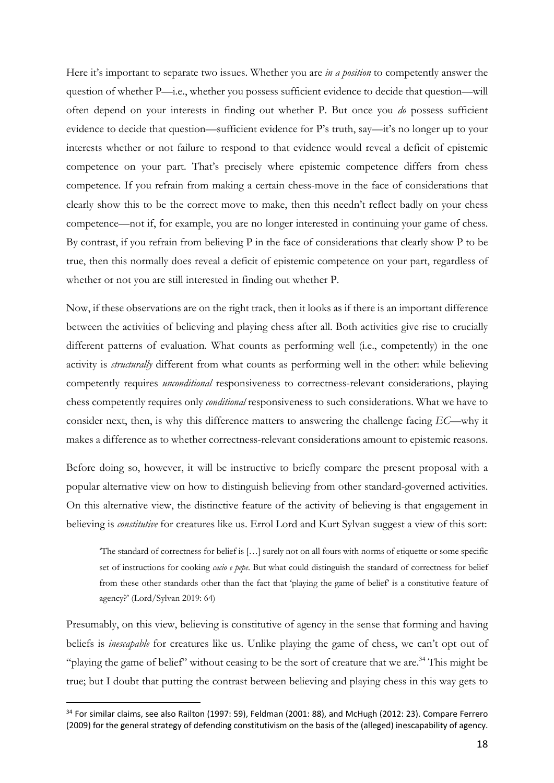Here it's important to separate two issues. Whether you are *in a position* to competently answer the question of whether P—i.e., whether you possess sufficient evidence to decide that question—will often depend on your interests in finding out whether P. But once you *do* possess sufficient evidence to decide that question—sufficient evidence for P's truth, say—it's no longer up to your interests whether or not failure to respond to that evidence would reveal a deficit of epistemic competence on your part. That's precisely where epistemic competence differs from chess competence. If you refrain from making a certain chess-move in the face of considerations that clearly show this to be the correct move to make, then this needn't reflect badly on your chess competence—not if, for example, you are no longer interested in continuing your game of chess. By contrast, if you refrain from believing P in the face of considerations that clearly show P to be true, then this normally does reveal a deficit of epistemic competence on your part, regardless of whether or not you are still interested in finding out whether P.

Now, if these observations are on the right track, then it looks as if there is an important difference between the activities of believing and playing chess after all. Both activities give rise to crucially different patterns of evaluation. What counts as performing well (i.e., competently) in the one activity is *structurally* different from what counts as performing well in the other: while believing competently requires *unconditional* responsiveness to correctness-relevant considerations, playing chess competently requires only *conditional* responsiveness to such considerations. What we have to consider next, then, is why this difference matters to answering the challenge facing *EC*—why it makes a difference as to whether correctness-relevant considerations amount to epistemic reasons.

Before doing so, however, it will be instructive to briefly compare the present proposal with a popular alternative view on how to distinguish believing from other standard-governed activities. On this alternative view, the distinctive feature of the activity of believing is that engagement in believing is *constitutive* for creatures like us. Errol Lord and Kurt Sylvan suggest a view of this sort:

'The standard of correctness for belief is […] surely not on all fours with norms of etiquette or some specific set of instructions for cooking *cacio e pepe*. But what could distinguish the standard of correctness for belief from these other standards other than the fact that 'playing the game of belief' is a constitutive feature of agency?' (Lord/Sylvan 2019: 64)

Presumably, on this view, believing is constitutive of agency in the sense that forming and having beliefs is *inescapable* for creatures like us. Unlike playing the game of chess, we can't opt out of "playing the game of belief" without ceasing to be the sort of creature that we are.<sup>34</sup> This might be true; but I doubt that putting the contrast between believing and playing chess in this way gets to

<sup>&</sup>lt;sup>34</sup> For similar claims, see also Railton (1997: 59), Feldman (2001: 88), and McHugh (2012: 23). Compare Ferrero (2009) for the general strategy of defending constitutivism on the basis of the (alleged) inescapability of agency.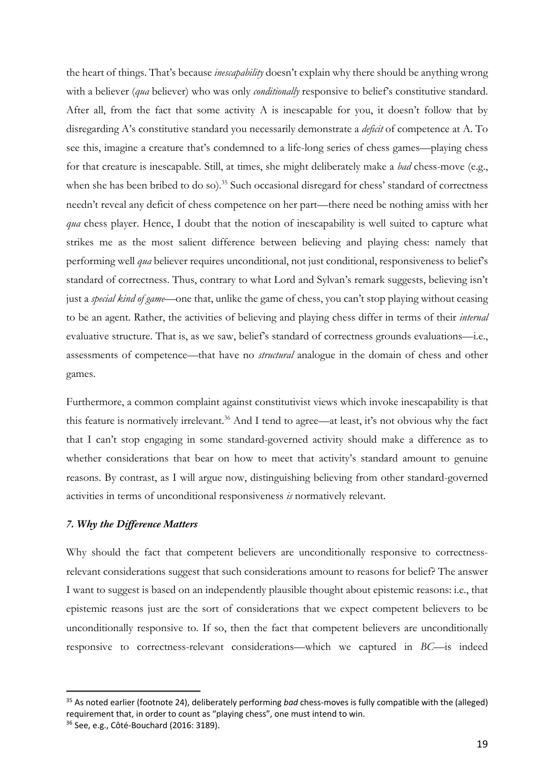the heart of things. That's because *inescapability* doesn't explain why there should be anything wrong with a believer *(qua* believer) who was only *conditionally* responsive to belief's constitutive standard. After all, from the fact that some activity A is inescapable for you, it doesn't follow that by disregarding A's constitutive standard you necessarily demonstrate a *deficit* of competence at A. To see this, imagine a creature that's condemned to a life-long series of chess games—playing chess for that creature is inescapable. Still, at times, she might deliberately make a *bad* chess-move (e.g., when she has been bribed to do so).<sup>35</sup> Such occasional disregard for chess' standard of correctness needn't reveal any deficit of chess competence on her part—there need be nothing amiss with her *qua* chess player. Hence, I doubt that the notion of inescapability is well suited to capture what strikes me as the most salient difference between believing and playing chess: namely that performing well *qua* believer requires unconditional, not just conditional, responsiveness to belief's standard of correctness. Thus, contrary to what Lord and Sylvan's remark suggests, believing isn't just a *special kind of game*—one that, unlike the game of chess, you can't stop playing without ceasing to be an agent. Rather, the activities of believing and playing chess differ in terms of their *internal* evaluative structure. That is, as we saw, belief's standard of correctness grounds evaluations—i.e., assessments of competence—that have no *structural* analogue in the domain of chess and other games.

Furthermore, a common complaint against constitutivist views which invoke inescapability is that this feature is normatively irrelevant.<sup>36</sup> And I tend to agree—at least, it's not obvious why the fact that I can't stop engaging in some standard-governed activity should make a difference as to whether considerations that bear on how to meet that activity's standard amount to genuine reasons. By contrast, as I will argue now, distinguishing believing from other standard-governed activities in terms of unconditional responsiveness *is* normatively relevant.

## *7. Why the Difference Matters*

Why should the fact that competent believers are unconditionally responsive to correctnessrelevant considerations suggest that such considerations amount to reasons for belief? The answer I want to suggest is based on an independently plausible thought about epistemic reasons: i.e., that epistemic reasons just are the sort of considerations that we expect competent believers to be unconditionally responsive to. If so, then the fact that competent believers are unconditionally responsive to correctness-relevant considerations—which we captured in *BC*—is indeed

<sup>35</sup> As noted earlier (footnote 24), deliberately performing *bad* chess-moves is fully compatible with the (alleged) requirement that, in order to count as "playing chess", one must intend to win.

<sup>36</sup> See, e.g., Côté-Bouchard (2016: 3189).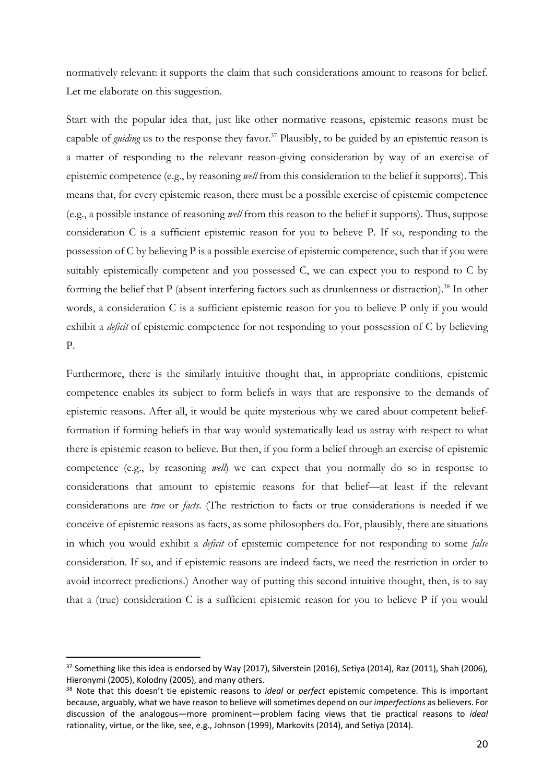normatively relevant: it supports the claim that such considerations amount to reasons for belief. Let me elaborate on this suggestion.

Start with the popular idea that, just like other normative reasons, epistemic reasons must be capable of *guiding* us to the response they favor.<sup>37</sup> Plausibly, to be guided by an epistemic reason is a matter of responding to the relevant reason-giving consideration by way of an exercise of epistemic competence (e.g., by reasoning *well* from this consideration to the belief it supports). This means that, for every epistemic reason, there must be a possible exercise of epistemic competence (e.g., a possible instance of reasoning *well* from this reason to the belief it supports). Thus, suppose consideration C is a sufficient epistemic reason for you to believe P. If so, responding to the possession of C by believing P is a possible exercise of epistemic competence, such that if you were suitably epistemically competent and you possessed C, we can expect you to respond to C by forming the belief that P (absent interfering factors such as drunkenness or distraction).<sup>38</sup> In other words, a consideration C is a sufficient epistemic reason for you to believe P only if you would exhibit a *deficit* of epistemic competence for not responding to your possession of C by believing P.

Furthermore, there is the similarly intuitive thought that, in appropriate conditions, epistemic competence enables its subject to form beliefs in ways that are responsive to the demands of epistemic reasons. After all, it would be quite mysterious why we cared about competent beliefformation if forming beliefs in that way would systematically lead us astray with respect to what there is epistemic reason to believe. But then, if you form a belief through an exercise of epistemic competence (e.g., by reasoning *well*) we can expect that you normally do so in response to considerations that amount to epistemic reasons for that belief—at least if the relevant considerations are *true* or *facts*. (The restriction to facts or true considerations is needed if we conceive of epistemic reasons as facts, as some philosophers do. For, plausibly, there are situations in which you would exhibit a *deficit* of epistemic competence for not responding to some *false* consideration. If so, and if epistemic reasons are indeed facts, we need the restriction in order to avoid incorrect predictions.) Another way of putting this second intuitive thought, then, is to say that a (true) consideration C is a sufficient epistemic reason for you to believe P if you would

<sup>&</sup>lt;sup>37</sup> Something like this idea is endorsed by Way (2017), Silverstein (2016), Setiya (2014), Raz (2011), Shah (2006), Hieronymi (2005), Kolodny (2005), and many others.

<sup>38</sup> Note that this doesn't tie epistemic reasons to *ideal* or *perfect* epistemic competence. This is important because, arguably, what we have reason to believe will sometimes depend on our *imperfections* as believers. For discussion of the analogous—more prominent—problem facing views that tie practical reasons to *ideal* rationality, virtue, or the like, see, e.g., Johnson (1999), Markovits (2014), and Setiya (2014).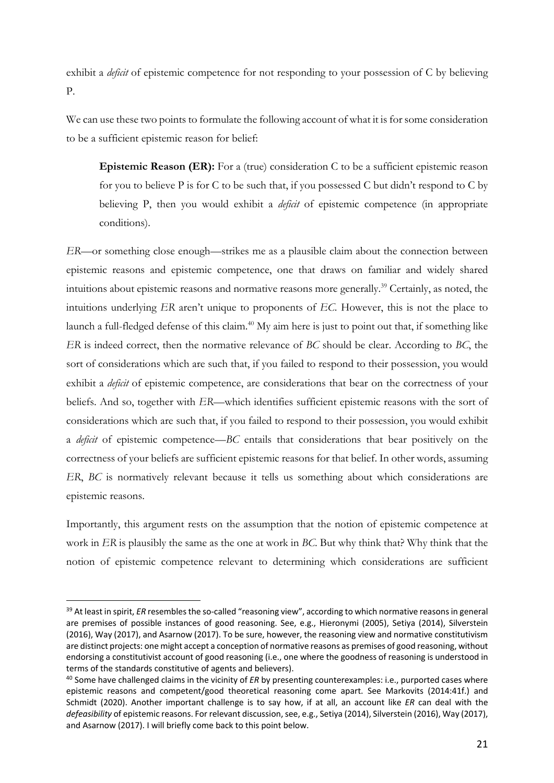exhibit a *deficit* of epistemic competence for not responding to your possession of C by believing P.

We can use these two points to formulate the following account of what it is for some consideration to be a sufficient epistemic reason for belief:

**Epistemic Reason (ER):** For a (true) consideration C to be a sufficient epistemic reason for you to believe P is for C to be such that, if you possessed C but didn't respond to C by believing P, then you would exhibit a *deficit* of epistemic competence (in appropriate conditions).

*ER*—or something close enough—strikes me as a plausible claim about the connection between epistemic reasons and epistemic competence, one that draws on familiar and widely shared intuitions about epistemic reasons and normative reasons more generally.39 Certainly, as noted, the intuitions underlying *ER* aren't unique to proponents of *EC*. However, this is not the place to launch a full-fledged defense of this claim.<sup>40</sup> My aim here is just to point out that, if something like *ER* is indeed correct, then the normative relevance of *BC* should be clear. According to *BC*, the sort of considerations which are such that, if you failed to respond to their possession, you would exhibit a *deficit* of epistemic competence, are considerations that bear on the correctness of your beliefs. And so, together with *ER*—which identifies sufficient epistemic reasons with the sort of considerations which are such that, if you failed to respond to their possession, you would exhibit a *deficit* of epistemic competence—*BC* entails that considerations that bear positively on the correctness of your beliefs are sufficient epistemic reasons for that belief. In other words, assuming *ER*, *BC* is normatively relevant because it tells us something about which considerations are epistemic reasons.

Importantly, this argument rests on the assumption that the notion of epistemic competence at work in *ER* is plausibly the same as the one at work in *BC*. But why think that? Why think that the notion of epistemic competence relevant to determining which considerations are sufficient

<sup>&</sup>lt;sup>39</sup> At least in spirit, *ER* resembles the so-called "reasoning view", according to which normative reasons in general are premises of possible instances of good reasoning. See, e.g., Hieronymi (2005), Setiya (2014), Silverstein (2016), Way (2017), and Asarnow (2017). To be sure, however, the reasoning view and normative constitutivism are distinct projects: one might accept a conception of normative reasons as premises of good reasoning, without endorsing a constitutivist account of good reasoning (i.e., one where the goodness of reasoning is understood in terms of the standards constitutive of agents and believers).

<sup>40</sup> Some have challenged claims in the vicinity of *ER* by presenting counterexamples: i.e., purported cases where epistemic reasons and competent/good theoretical reasoning come apart. See Markovits (2014:41f.) and Schmidt (2020). Another important challenge is to say how, if at all, an account like *ER* can deal with the *defeasibility* of epistemic reasons. For relevant discussion, see, e.g., Setiya (2014), Silverstein (2016), Way (2017), and Asarnow (2017). I will briefly come back to this point below.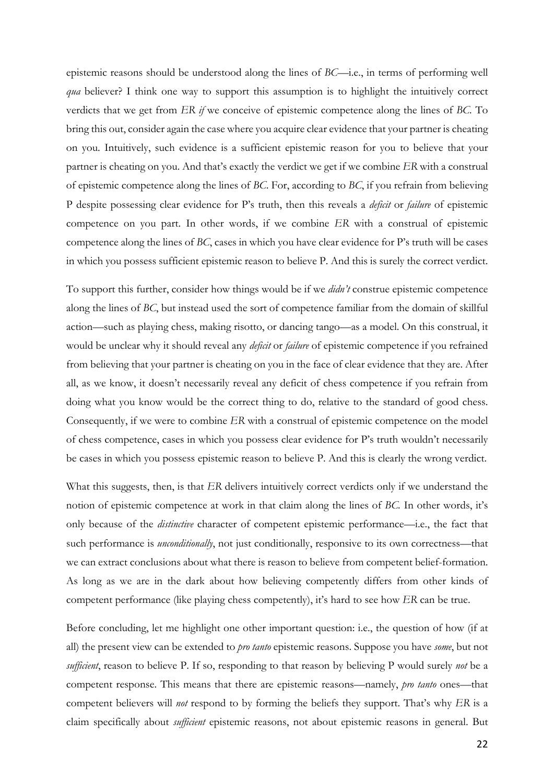epistemic reasons should be understood along the lines of *BC*—i.e., in terms of performing well *qua* believer? I think one way to support this assumption is to highlight the intuitively correct verdicts that we get from *ER if* we conceive of epistemic competence along the lines of *BC.* To bring this out, consider again the case where you acquire clear evidence that your partner is cheating on you. Intuitively, such evidence is a sufficient epistemic reason for you to believe that your partner is cheating on you. And that's exactly the verdict we get if we combine *ER* with a construal of epistemic competence along the lines of *BC*. For, according to *BC*, if you refrain from believing P despite possessing clear evidence for P's truth, then this reveals a *deficit* or *failure* of epistemic competence on you part. In other words, if we combine *ER* with a construal of epistemic competence along the lines of *BC*, cases in which you have clear evidence for P's truth will be cases in which you possess sufficient epistemic reason to believe P. And this is surely the correct verdict.

To support this further, consider how things would be if we *didn't* construe epistemic competence along the lines of *BC*, but instead used the sort of competence familiar from the domain of skillful action—such as playing chess, making risotto, or dancing tango—as a model. On this construal, it would be unclear why it should reveal any *deficit* or *failure* of epistemic competence if you refrained from believing that your partner is cheating on you in the face of clear evidence that they are. After all, as we know, it doesn't necessarily reveal any deficit of chess competence if you refrain from doing what you know would be the correct thing to do, relative to the standard of good chess. Consequently, if we were to combine *ER* with a construal of epistemic competence on the model of chess competence, cases in which you possess clear evidence for P's truth wouldn't necessarily be cases in which you possess epistemic reason to believe P. And this is clearly the wrong verdict.

What this suggests, then, is that *ER* delivers intuitively correct verdicts only if we understand the notion of epistemic competence at work in that claim along the lines of *BC.* In other words, it's only because of the *distinctive* character of competent epistemic performance—i.e., the fact that such performance is *unconditionally*, not just conditionally, responsive to its own correctness—that we can extract conclusions about what there is reason to believe from competent belief-formation. As long as we are in the dark about how believing competently differs from other kinds of competent performance (like playing chess competently), it's hard to see how *ER* can be true.

Before concluding, let me highlight one other important question: i.e., the question of how (if at all) the present view can be extended to *pro tanto* epistemic reasons. Suppose you have *some*, but not *sufficient*, reason to believe P. If so, responding to that reason by believing P would surely *not* be a competent response. This means that there are epistemic reasons—namely, *pro tanto* ones—that competent believers will *not* respond to by forming the beliefs they support. That's why *ER* is a claim specifically about *sufficient* epistemic reasons, not about epistemic reasons in general. But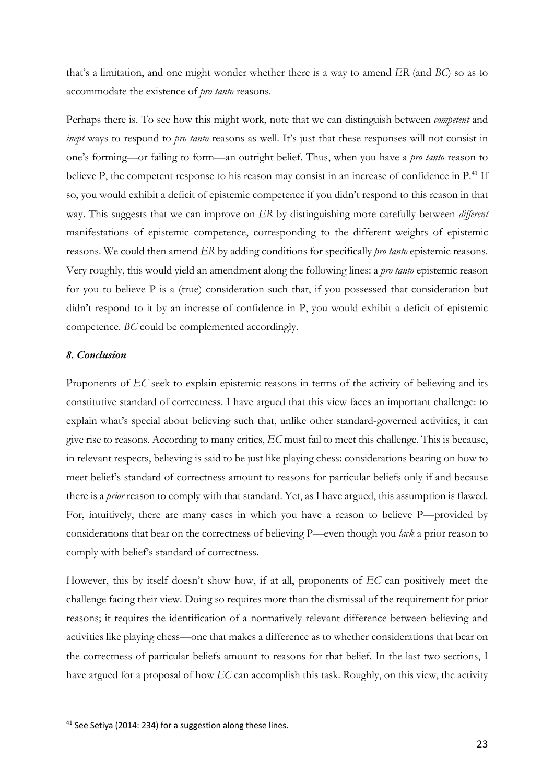that's a limitation, and one might wonder whether there is a way to amend *ER* (and *BC*) so as to accommodate the existence of *pro tanto* reasons.

Perhaps there is. To see how this might work, note that we can distinguish between *competent* and *inept* ways to respond to *pro tanto* reasons as well. It's just that these responses will not consist in one's forming—or failing to form—an outright belief. Thus, when you have a *pro tanto* reason to believe P, the competent response to his reason may consist in an increase of confidence in P.<sup>41</sup> If so, you would exhibit a deficit of epistemic competence if you didn't respond to this reason in that way. This suggests that we can improve on *ER* by distinguishing more carefully between *different* manifestations of epistemic competence, corresponding to the different weights of epistemic reasons. We could then amend *ER* by adding conditions for specifically *pro tanto* epistemic reasons. Very roughly, this would yield an amendment along the following lines: a *pro tanto* epistemic reason for you to believe P is a (true) consideration such that, if you possessed that consideration but didn't respond to it by an increase of confidence in P, you would exhibit a deficit of epistemic competence. *BC* could be complemented accordingly.

### *8. Conclusion*

Proponents of *EC* seek to explain epistemic reasons in terms of the activity of believing and its constitutive standard of correctness. I have argued that this view faces an important challenge: to explain what's special about believing such that, unlike other standard-governed activities, it can give rise to reasons. According to many critics, *EC* must fail to meet this challenge. This is because, in relevant respects, believing is said to be just like playing chess: considerations bearing on how to meet belief's standard of correctness amount to reasons for particular beliefs only if and because there is a *prior* reason to comply with that standard. Yet, as I have argued, this assumption is flawed. For, intuitively, there are many cases in which you have a reason to believe P—provided by considerations that bear on the correctness of believing P—even though you *lack* a prior reason to comply with belief's standard of correctness.

However, this by itself doesn't show how, if at all, proponents of *EC* can positively meet the challenge facing their view. Doing so requires more than the dismissal of the requirement for prior reasons; it requires the identification of a normatively relevant difference between believing and activities like playing chess—one that makes a difference as to whether considerations that bear on the correctness of particular beliefs amount to reasons for that belief. In the last two sections, I have argued for a proposal of how *EC* can accomplish this task. Roughly, on this view, the activity

<sup>&</sup>lt;sup>41</sup> See Setiya (2014: 234) for a suggestion along these lines.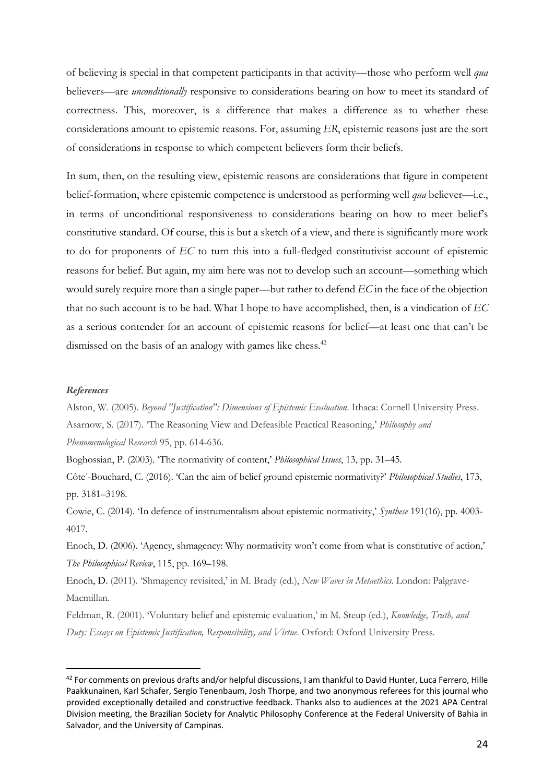of believing is special in that competent participants in that activity—those who perform well *qua* believers—are *unconditionally* responsive to considerations bearing on how to meet its standard of correctness. This, moreover, is a difference that makes a difference as to whether these considerations amount to epistemic reasons. For, assuming *ER*, epistemic reasons just are the sort of considerations in response to which competent believers form their beliefs.

In sum, then, on the resulting view, epistemic reasons are considerations that figure in competent belief-formation, where epistemic competence is understood as performing well *qua* believer—i.e., in terms of unconditional responsiveness to considerations bearing on how to meet belief's constitutive standard. Of course, this is but a sketch of a view, and there is significantly more work to do for proponents of *EC* to turn this into a full-fledged constitutivist account of epistemic reasons for belief. But again, my aim here was not to develop such an account—something which would surely require more than a single paper—but rather to defend *EC* in the face of the objection that no such account is to be had. What I hope to have accomplished, then, is a vindication of *EC* as a serious contender for an account of epistemic reasons for belief—at least one that can't be dismissed on the basis of an analogy with games like chess.<sup>42</sup>

#### *References*

Alston, W. (2005). *Beyond "Justification": Dimensions of Epistemic Evaluation*. Ithaca: Cornell University Press. Asarnow, S. (2017). 'The Reasoning View and Defeasible Practical Reasoning,' *Philosophy and Phenomenological Research* 95, pp. 614-636.

Boghossian, P. (2003). 'The normativity of content,' *Philosophical Issues*, 13, pp. 31–45.

Côte ́-Bouchard, C. (2016). 'Can the aim of belief ground epistemic normativity?' *Philosophical Studies*, 173, pp. 3181–3198.

Cowie, C. (2014). 'In defence of instrumentalism about epistemic normativity,' *Synthese* 191(16), pp. 4003- 4017.

Enoch, D. (2006). 'Agency, shmagency: Why normativity won't come from what is constitutive of action,' *The Philosophical Review*, 115, pp. 169–198.

Enoch, D. (2011). 'Shmagency revisited,' in M. Brady (ed.), *New Waves in Metaethics*. London: Palgrave-Macmillan.

Feldman, R. (2001). 'Voluntary belief and epistemic evaluation,' in M. Steup (ed.), *Knowledge, Truth, and Duty: Essays on Epistemic Justification, Responsibility, and Virtue*. Oxford: Oxford University Press.

<sup>&</sup>lt;sup>42</sup> For comments on previous drafts and/or helpful discussions, I am thankful to David Hunter, Luca Ferrero, Hille Paakkunainen, Karl Schafer, Sergio Tenenbaum, Josh Thorpe, and two anonymous referees for this journal who provided exceptionally detailed and constructive feedback. Thanks also to audiences at the 2021 APA Central Division meeting, the Brazilian Society for Analytic Philosophy Conference at the Federal University of Bahia in Salvador, and the University of Campinas.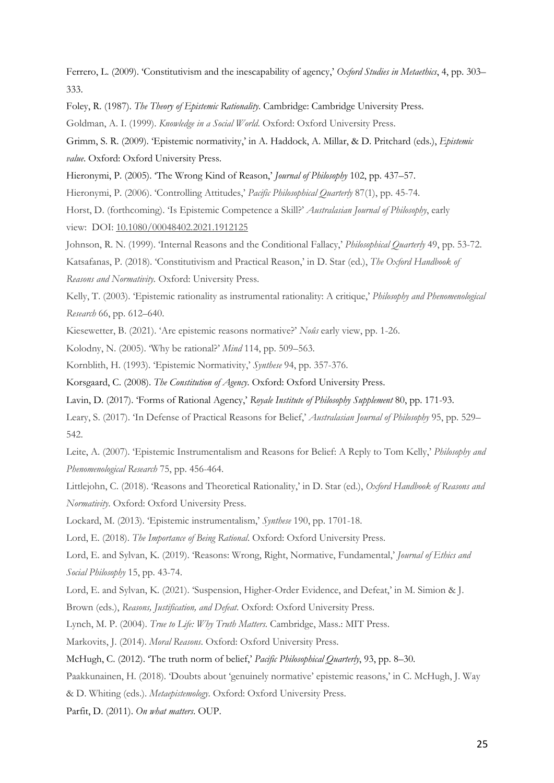Ferrero, L. (2009). 'Constitutivism and the inescapability of agency,' *Oxford Studies in Metaethics*, 4, pp. 303– 333.

Foley, R. (1987). *The Theory of Epistemic Rationality*. Cambridge: Cambridge University Press.

Goldman, A. I. (1999). *Knowledge in a Social World*. Oxford: Oxford University Press.

Grimm, S. R. (2009). 'Epistemic normativity,' in A. Haddock, A. Millar, & D. Pritchard (eds.), *Epistemic value*. Oxford: Oxford University Press.

Hieronymi, P. (2005). 'The Wrong Kind of Reason,' *Journal of Philosophy* 102, pp. 437–57.

Hieronymi, P. (2006). 'Controlling Attitudes,' *Pacific Philosophical Quarterly* 87(1), pp. 45-74.

Horst, D. (forthcoming). 'Is Epistemic Competence a Skill?' *Australasian Journal of Philosophy*, early view: DOI: 10.1080/00048402.2021.1912125

Johnson, R. N. (1999). 'Internal Reasons and the Conditional Fallacy,' *Philosophical Quarterly* 49, pp. 53-72.

Katsafanas, P. (2018). 'Constitutivism and Practical Reason,' in D. Star (ed.), *The Oxford Handbook of* 

*Reasons and Normativity.* Oxford: University Press.

Kelly, T. (2003). 'Epistemic rationality as instrumental rationality: A critique,' *Philosophy and Phenomenological Research* 66, pp. 612–640.

Kiesewetter, B. (2021). 'Are epistemic reasons normative?' *Noûs* early view, pp. 1-26.

Kolodny, N. (2005). 'Why be rational?' *Mind* 114, pp. 509–563.

Kornblith, H. (1993). 'Epistemic Normativity,' *Synthese* 94, pp. 357-376.

Korsgaard, C. (2008). *The Constitution of Agency*. Oxford: Oxford University Press.

Lavin, D. (2017). 'Forms of Rational Agency,' *Royale Institute of Philosophy Supplement* 80, pp. 171-93.

Leary, S. (2017). 'In Defense of Practical Reasons for Belief,' *Australasian Journal of Philosophy* 95, pp. 529– 542.

Leite, A. (2007). 'Epistemic Instrumentalism and Reasons for Belief: A Reply to Tom Kelly,' *Philosophy and Phenomenological Research* 75, pp. 456-464.

Littlejohn, C. (2018). 'Reasons and Theoretical Rationality,' in D. Star (ed.), *Oxford Handbook of Reasons and Normativity*. Oxford: Oxford University Press.

Lockard, M. (2013). 'Epistemic instrumentalism,' *Synthese* 190, pp. 1701-18.

Lord, E. (2018). *The Importance of Being Rational*. Oxford: Oxford University Press.

Lord, E. and Sylvan, K. (2019). 'Reasons: Wrong, Right, Normative, Fundamental,' *Journal of Ethics and Social Philosophy* 15, pp. 43-74.

Lord, E. and Sylvan, K. (2021). 'Suspension, Higher-Order Evidence, and Defeat,' in M. Simion & J.

Brown (eds.), *Reasons, Justification, and Defeat*. Oxford: Oxford University Press.

Lynch, M. P. (2004). *True to Life: Why Truth Matters*. Cambridge, Mass.: MIT Press.

Markovits, J. (2014). *Moral Reasons*. Oxford: Oxford University Press.

McHugh, C. (2012). 'The truth norm of belief,' *Pacific Philosophical Quarterly*, 93, pp. 8–30.

Paakkunainen, H. (2018). 'Doubts about 'genuinely normative' epistemic reasons,' in C. McHugh, J. Way

& D. Whiting (eds.). *Metaepistemology*. Oxford: Oxford University Press.

Parfit, D. (2011). *On what matters*. OUP.